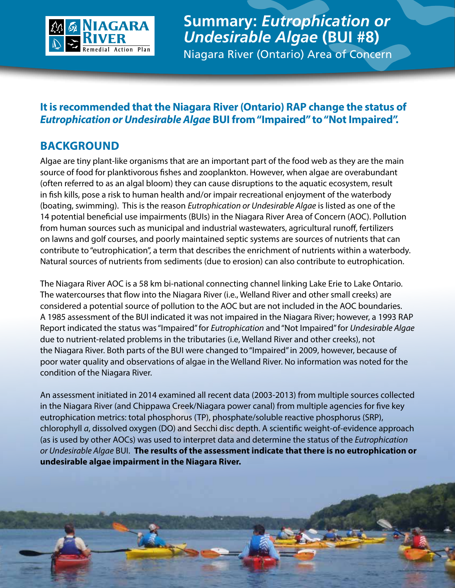

**Summary:** *Eutrophication or Undesirable Algae* **(BUI #8)** Niagara River (Ontario) Area of Concern

## **It is recommended that the Niagara River (Ontario) RAP change the status of** *Eutrophication or Undesirable Algae* **BUI from "Impaired" to "Not Impaired".**

## **BACKGROUND**

Algae are tiny plant-like organisms that are an important part of the food web as they are the main source of food for planktivorous fishes and zooplankton. However, when algae are overabundant (often referred to as an algal bloom) they can cause disruptions to the aquatic ecosystem, result in fish kills, pose a risk to human health and/or impair recreational enjoyment of the waterbody (boating, swimming). This is the reason *Eutrophication or Undesirable Algae* is listed as one of the 14 potential beneficial use impairments (BUIs) in the Niagara River Area of Concern (AOC). Pollution from human sources such as municipal and industrial wastewaters, agricultural runoff, fertilizers on lawns and golf courses, and poorly maintained septic systems are sources of nutrients that can contribute to "eutrophication", a term that describes the enrichment of nutrients within a waterbody. Natural sources of nutrients from sediments (due to erosion) can also contribute to eutrophication.

The Niagara River AOC is a 58 km bi-national connecting channel linking Lake Erie to Lake Ontario. The watercourses that flow into the Niagara River (i.e., Welland River and other small creeks) are considered a potential source of pollution to the AOC but are not included in the AOC boundaries. A 1985 assessment of the BUI indicated it was not impaired in the Niagara River; however, a 1993 RAP Report indicated the status was "Impaired" for *Eutrophication* and "Not Impaired" for *Undesirable Algae* due to nutrient-related problems in the tributaries (i.e, Welland River and other creeks), not the Niagara River. Both parts of the BUI were changed to "Impaired" in 2009, however, because of poor water quality and observations of algae in the Welland River. No information was noted for the condition of the Niagara River.

An assessment initiated in 2014 examined all recent data (2003-2013) from multiple sources collected in the Niagara River (and Chippawa Creek/Niagara power canal) from multiple agencies for five key eutrophication metrics: total phosphorus (TP), phosphate/soluble reactive phosphorus (SRP), chlorophyll *a*, dissolved oxygen (DO) and Secchi disc depth. A scientific weight-of-evidence approach (as is used by other AOCs) was used to interpret data and determine the status of the *Eutrophication or Undesirable Algae* BUI. **The results of the assessment indicate that there is no eutrophication or undesirable algae impairment in the Niagara River.**